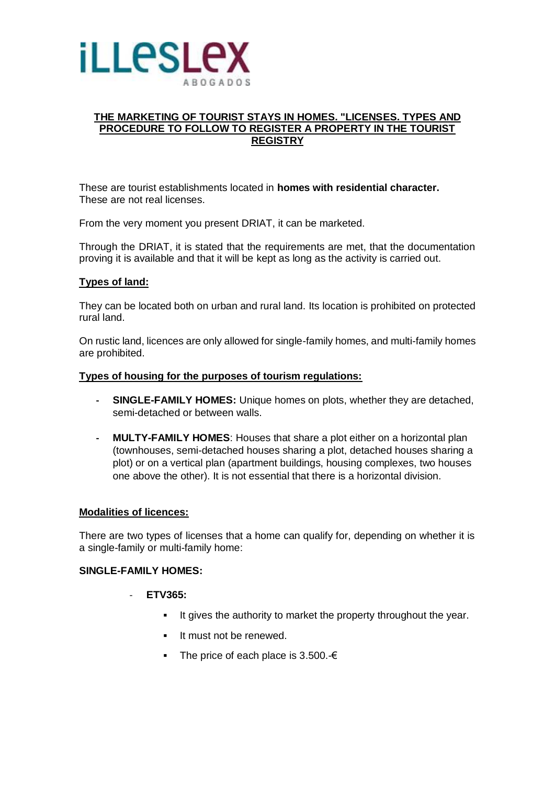

# **THE MARKETING OF TOURIST STAYS IN HOMES. "LICENSES. TYPES AND PROCEDURE TO FOLLOW TO REGISTER A PROPERTY IN THE TOURIST REGISTRY**

These are tourist establishments located in **homes with residential character.**  These are not real licenses.

From the very moment you present DRIAT, it can be marketed.

Through the DRIAT, it is stated that the requirements are met, that the documentation proving it is available and that it will be kept as long as the activity is carried out.

## **Types of land:**

They can be located both on urban and rural land. Its location is prohibited on protected rural land.

On rustic land, licences are only allowed for single-family homes, and multi-family homes are prohibited.

### **Types of housing for the purposes of tourism regulations:**

- **- SINGLE-FAMILY HOMES:** Unique homes on plots, whether they are detached, semi-detached or between walls.
- **- MULTY-FAMILY HOMES**: Houses that share a plot either on a horizontal plan (townhouses, semi-detached houses sharing a plot, detached houses sharing a plot) or on a vertical plan (apartment buildings, housing complexes, two houses one above the other). It is not essential that there is a horizontal division.

### **Modalities of licences:**

There are two types of licenses that a home can qualify for, depending on whether it is a single-family or multi-family home:

### **SINGLE-FAMILY HOMES:**

### - **ETV365:**

- It gives the authority to market the property throughout the year.
- **It must not be renewed.**
- The price of each place is 3.500.- $\epsilon$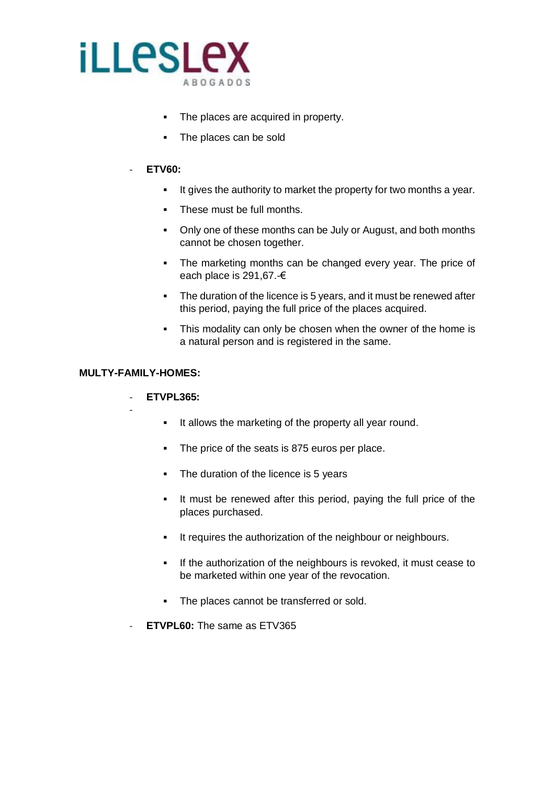

- The places are acquired in property.
- The places can be sold

### - **ETV60:**

- It gives the authority to market the property for two months a year.
- These must be full months.
- Only one of these months can be July or August, and both months cannot be chosen together.
- The marketing months can be changed every year. The price of each place is 291,67.-€
- The duration of the licence is 5 years, and it must be renewed after this period, paying the full price of the places acquired.
- This modality can only be chosen when the owner of the home is a natural person and is registered in the same.

### **MULTY-FAMILY-HOMES:**

-

# - **ETVPL365:**

- It allows the marketing of the property all year round.
- The price of the seats is 875 euros per place.
- The duration of the licence is 5 years
- It must be renewed after this period, paying the full price of the places purchased.
- It requires the authorization of the neighbour or neighbours.
- If the authorization of the neighbours is revoked, it must cease to be marketed within one year of the revocation.
- The places cannot be transferred or sold.
- **ETVPL60:** The same as ETV365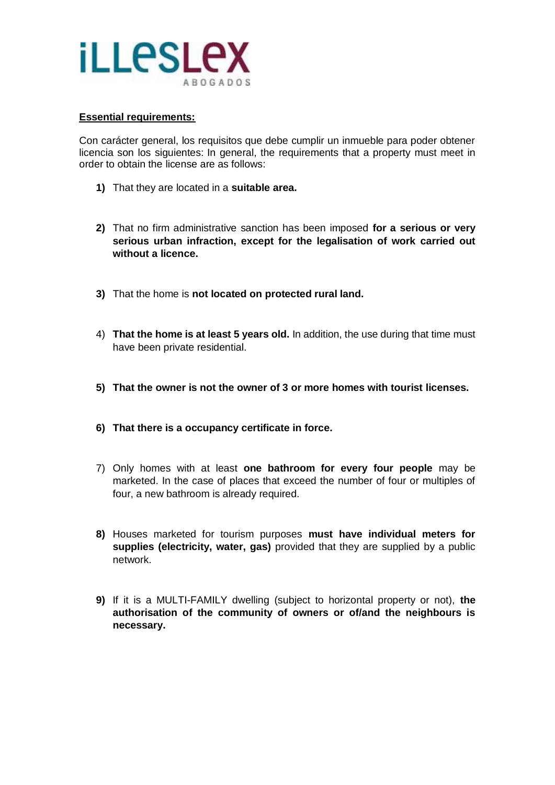

### **Essential requirements:**

Con carácter general, los requisitos que debe cumplir un inmueble para poder obtener licencia son los siguientes: In general, the requirements that a property must meet in order to obtain the license are as follows:

- **1)** That they are located in a **suitable area.**
- **2)** That no firm administrative sanction has been imposed **for a serious or very serious urban infraction, except for the legalisation of work carried out without a licence.**
- **3)** That the home is **not located on protected rural land.**
- 4) **That the home is at least 5 years old.** In addition, the use during that time must have been private residential.
- **5) That the owner is not the owner of 3 or more homes with tourist licenses.**
- **6) That there is a occupancy certificate in force.**
- 7) Only homes with at least **one bathroom for every four people** may be marketed. In the case of places that exceed the number of four or multiples of four, a new bathroom is already required.
- **8)** Houses marketed for tourism purposes **must have individual meters for supplies (electricity, water, gas)** provided that they are supplied by a public network.
- **9)** If it is a MULTI-FAMILY dwelling (subject to horizontal property or not), **the authorisation of the community of owners or of/and the neighbours is necessary.**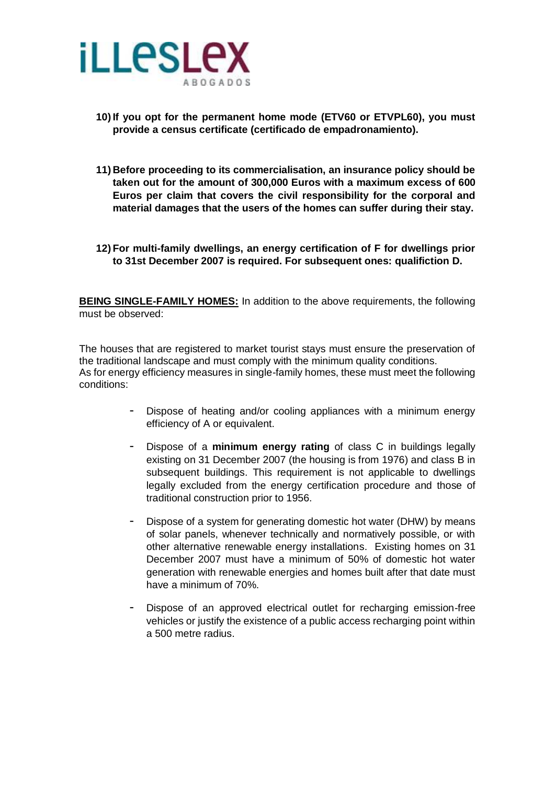

- **10) If you opt for the permanent home mode (ETV60 or ETVPL60), you must provide a census certificate (certificado de empadronamiento).**
- **11) Before proceeding to its commercialisation, an insurance policy should be taken out for the amount of 300,000 Euros with a maximum excess of 600 Euros per claim that covers the civil responsibility for the corporal and material damages that the users of the homes can suffer during their stay.**
- **12) For multi-family dwellings, an energy certification of F for dwellings prior to 31st December 2007 is required. For subsequent ones: qualifiction D.**

**BEING SINGLE-FAMILY HOMES:** In addition to the above requirements, the following must be observed:

The houses that are registered to market tourist stays must ensure the preservation of the traditional landscape and must comply with the minimum quality conditions. As for energy efficiency measures in single-family homes, these must meet the following conditions:

- Dispose of heating and/or cooling appliances with a minimum energy efficiency of A or equivalent.
- Dispose of a **minimum energy rating** of class C in buildings legally existing on 31 December 2007 (the housing is from 1976) and class B in subsequent buildings. This requirement is not applicable to dwellings legally excluded from the energy certification procedure and those of traditional construction prior to 1956.
- Dispose of a system for generating domestic hot water (DHW) by means of solar panels, whenever technically and normatively possible, or with other alternative renewable energy installations. Existing homes on 31 December 2007 must have a minimum of 50% of domestic hot water generation with renewable energies and homes built after that date must have a minimum of 70%.
- Dispose of an approved electrical outlet for recharging emission-free vehicles or justify the existence of a public access recharging point within a 500 metre radius.